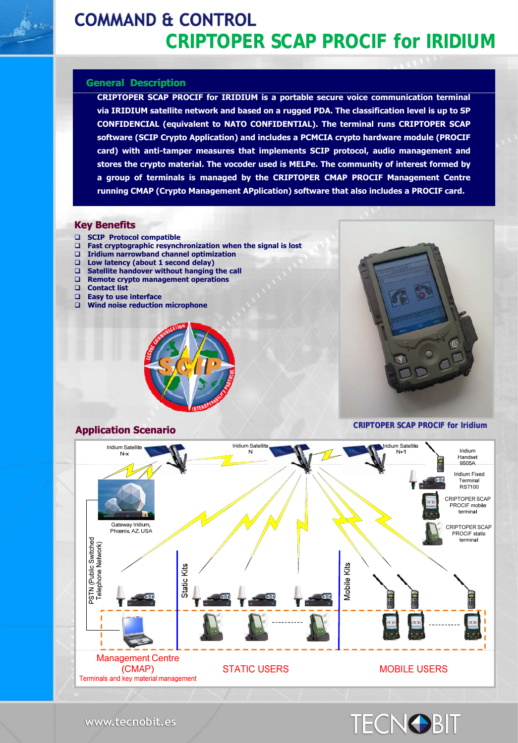# **COMMAND & CONTROL CRIPTOPER SCAP PROCIF for IRIDIUM**

#### **General Description**

**CRIPTOPER SCAP PROCIF for IRIDIUM is a portable secure voice communication terminal via IRIDIUM satellite network and based on a rugged PDA. The classification level is up to SP CONFIDENCIAL (equivalent to NATO CONFIDENTIAL). The terminal runs CRIPTOPER SCAP software (SCIP Crypto Application) and includes a PCMCIA crypto hardware module (PROCIF card) with anti-tamper measures that implements SCIP protocol, audio management and stores the crypto material. The vocoder used is MELPe. The community of interest formed by a group of terminals is managed by the CRIPTOPER CMAP PROCIF Management Centre running CMAP (Crypto Management APplication) software that also includes a PROCIF card.**

#### **Key Benefits**

- **SCIP Protocol compatible**
- **Fast cryptographic resynchronization when the signal is lost**
- **Iridium narrowband channel optimization**
- **Low latency (about 1 second delay)**
- **Satellite handover without hanging the call**
- **Remote crypto management operations Remote crypto management**
- **Contact list**
- **Easy to use interface**
- **Wind noise reduction microphone**







www.tecnobit.es